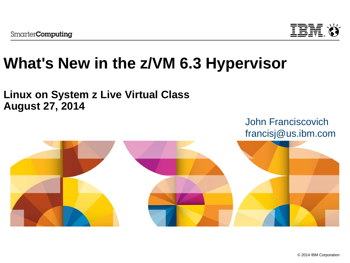

# **What's New in the z/VM 6.3 Hypervisor**

### **Linux on System z Live Virtual Class August 27, 2014**

John Franciscovich francisj@us.ibm.com

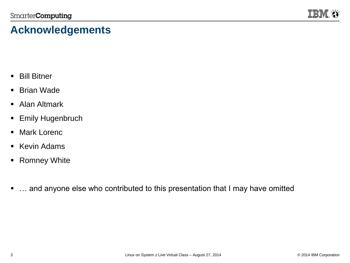

### **Acknowledgements**

- **Bill Bitner**
- Brian Wade
- **Alan Altmark**
- **Emily Hugenbruch**
- Mark Lorenc
- **Kevin Adams**
- Romney White
- ... and anyone else who contributed to this presentation that I may have omitted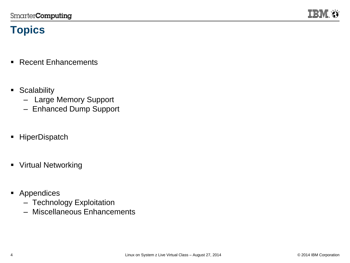

### **Topics**

- Recent Enhancements
- **Scalability** 
	- Large Memory Support
	- Enhanced Dump Support
- **HiperDispatch**
- **Virtual Networking**
- **Appendices** 
	- Technology Exploitation
	- Miscellaneous Enhancements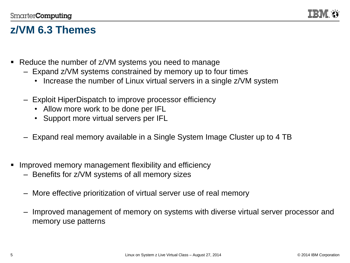

### **z/VM 6.3 Themes**

- Reduce the number of z/VM systems you need to manage
	- Expand z/VM systems constrained by memory up to four times
		- Increase the number of Linux virtual servers in a single z/VM system
	- Exploit HiperDispatch to improve processor efficiency
		- Allow more work to be done per IFL
		- Support more virtual servers per IFL
	- Expand real memory available in a Single System Image Cluster up to 4 TB
- **IMPROVED MEMOLY MANAGEMENT FOR ADDETER** in Improved memory management flexibility and efficiency
	- Benefits for z/VM systems of all memory sizes
	- More effective prioritization of virtual server use of real memory
	- Improved management of memory on systems with diverse virtual server processor and memory use patterns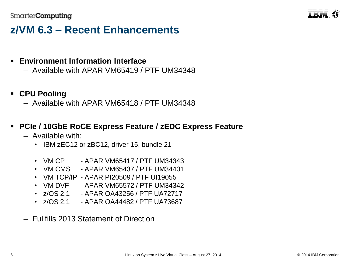

### **z/VM 6.3 – Recent Enhancements**

- **Environment Information Interface** 
	- Available with APAR VM65419 / PTF UM34348
- **CPU Pooling**
	- Available with APAR VM65418 / PTF UM34348
- **PCIe / 10GbE RoCE Express Feature / zEDC Express Feature**
	- Available with:
		- IBM zEC12 or zBC12, driver 15, bundle 21
		- VM CP  $-$  APAR VM65417 / PTF UM34343
		- VM CMS APAR VM65437 / PTF UM34401
		- VM TCP/IP APAR PI20509 / PTF UI19055
		- VM DVF APAR VM65572 / PTF UM34342
		- z/OS 2.1 APAR OA43256 / PTF UA72717
		- z/OS 2.1 APAR OA44482 / PTF UA73687
	- Fullfills 2013 Statement of Direction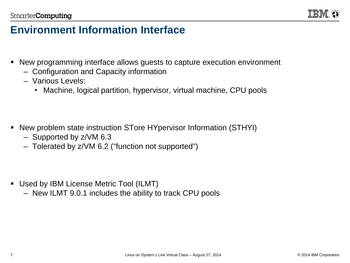

### **Environment Information Interface**

- New programming interface allows guests to capture execution environment
	- Configuration and Capacity information
	- Various Levels:
		- Machine, logical partition, hypervisor, virtual machine, CPU pools

- New problem state instruction STore HYpervisor Information (STHYI)
	- Supported by z/VM 6.3
	- Tolerated by z/VM 6.2 ("function not supported")

- Used by IBM License Metric Tool (ILMT)
	- New ILMT 9.0.1 includes the ability to track CPU pools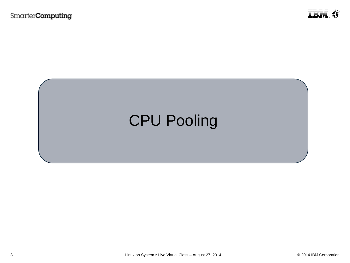

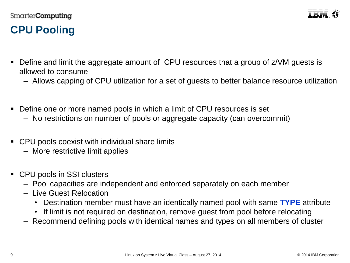

### **CPU Pooling**

- Define and limit the aggregate amount of CPU resources that a group of z/VM guests is allowed to consume
	- Allows capping of CPU utilization for a set of guests to better balance resource utilization
- Define one or more named pools in which a limit of CPU resources is set
	- No restrictions on number of pools or aggregate capacity (can overcommit)
- CPU pools coexist with individual share limits
	- More restrictive limit applies
- CPU pools in SSI clusters
	- Pool capacities are independent and enforced separately on each member
	- Live Guest Relocation
		- Destination member must have an identically named pool with same **TYPE** attribute
		- If limit is not required on destination, remove guest from pool before relocating
	- Recommend defining pools with identical names and types on all members of cluster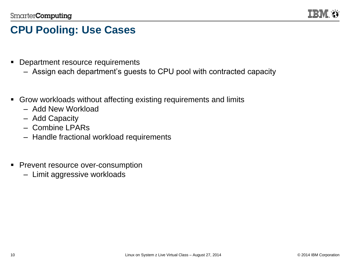

### **CPU Pooling: Use Cases**

- **Department resource requirements** 
	- Assign each department's guests to CPU pool with contracted capacity
- Grow workloads without affecting existing requirements and limits
	- Add New Workload
	- Add Capacity
	- Combine LPARs
	- Handle fractional workload requirements
- **Prevent resource over-consumption** 
	- Limit aggressive workloads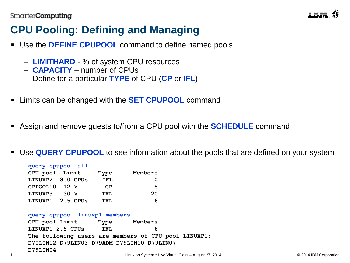

### **CPU Pooling: Defining and Managing**

- Use the **DEFINE CPUPOOL** command to define named pools
	- **LIMITHARD** % of system CPU resources
	- **CAPACITY** number of CPUs
	- Define for a particular **TYPE** of CPU (**CP** or **IFL**)
- Limits can be changed with the **SET CPUPOOL** command
- Assign and remove guests to/from a CPU pool with the **SCHEDULE** command
- Use **QUERY CPUPOOL** to see information about the pools that are defined on your system

| query cpupool all |      |      |         |
|-------------------|------|------|---------|
| CPU pool Limit    |      | Type | Members |
| LINUXP2 8.0 CPUs  |      | IFL  |         |
| CPPOOL10 12 $%$   |      | CP   | 8       |
| LINUXP3           | 30 g | IFL  | 20      |
| LINUXP1 2.5 CPUs  |      | TFT. | 6       |

#### **query cpupool linuxp1 members**

**CPU pool Limit Type Members LINUXP1 2.5 CPUs IFL 6 The following users are members of CPU pool LINUXP1: D70LIN12 D79LIN03 D79ADM D79LIN10 D79LIN07 D79LIN04** Linux on System z Live Virtual Class – August 27, 2014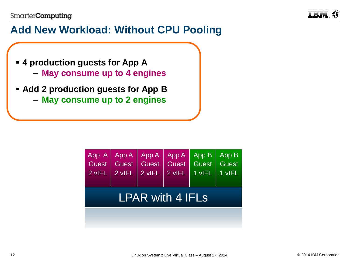

### **Add New Workload: Without CPU Pooling**

- **4 production guests for App A**
	- **May consume up to 4 engines**
- **Add 2 production guests for App B**
	- **May consume up to 2 engines**

| Guest<br>$2$ vIFL $\parallel$ | App A   App A   App A   App A | Guest Guest Guest Guest Guest<br>$2$ vIFL $2$ vIFL $2$ vIFL | App B<br>$\overline{1}$ viFL | $ $ App B<br>$\vert$ 1 vIFL |
|-------------------------------|-------------------------------|-------------------------------------------------------------|------------------------------|-----------------------------|
|                               |                               | <b>LPAR with 4 IFLs</b>                                     |                              |                             |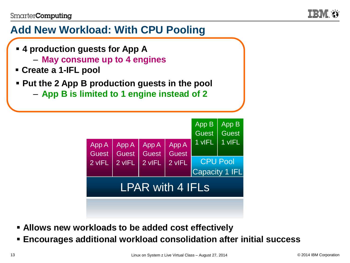

### **Add New Workload: With CPU Pooling**

- **4 production guests for App A**
	- **May consume up to 4 engines**
- **Create a 1-IFL pool**
- **Put the 2 App B production guests in the pool**
	- **App B is limited to 1 engine instead of 2**



- **Allows new workloads to be added cost effectively**
- **Encourages additional workload consolidation after initial success**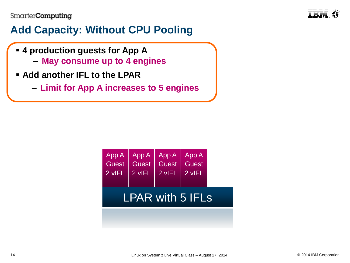

### **Add Capacity: Without CPU Pooling**

- **4 production guests for App A**
	- **May consume up to 4 engines**
- **Add another IFL to the LPAR**
	- **Limit for App A increases to 5 engines**

| App A<br>Guest<br>2 vIFL | App A<br>Guest<br>2 vIFL | App A<br>Guest<br>2 vIFL | App A<br>Guest<br>2 vIFL |  |
|--------------------------|--------------------------|--------------------------|--------------------------|--|
|                          |                          | <b>LPAR with 5 IFLS</b>  |                          |  |
|                          |                          |                          |                          |  |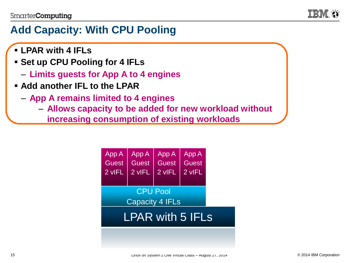

### **Add Capacity: With CPU Pooling**

- **LPAR with 4 IFLs**
- **Set up CPU Pooling for 4 IFLs** 
	- **Limits guests for App A to 4 engines**
- **Add another IFL to the LPAR**
	- **App A remains limited to 4 engines** 
		- **Allows capacity to be added for new workload without** 
			- **increasing consumption of existing workloads**

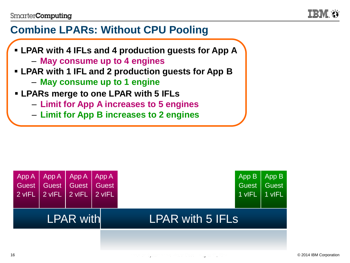

### **Combine LPARs: Without CPU Pooling**

- **LPAR with 4 IFLs and 4 production guests for App A** – **May consume up to 4 engines**
- **LPAR with 1 IFL and 2 production guests for App B**
	- **May consume up to 1 engine**
- **LPARs merge to one LPAR with 5 IFLs**
	- **Limit for App A increases to 5 engines**
	- **Limit for App B increases to 2 engines**

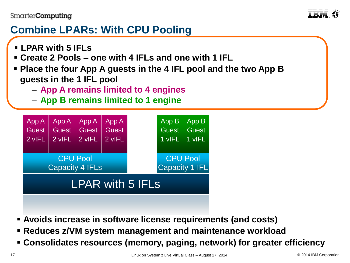

### **Combine LPARs: With CPU Pooling**

- **LPAR with 5 IFLs**
- **Create 2 Pools – one with 4 IFLs and one with 1 IFL**
- **Place the four App A guests in the 4 IFL pool and the two App B guests in the 1 IFL pool**
	- **App A remains limited to 4 engines**
	- **App B remains limited to 1 engine**



- **Avoids increase in software license requirements (and costs)**
- **Reduces z/VM system management and maintenance workload**
- **Consolidates resources (memory, paging, network) for greater efficiency**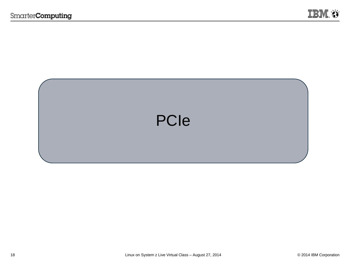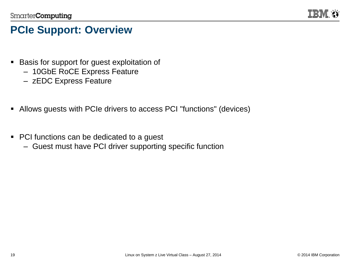

### **PCIe Support: Overview**

- Basis for support for guest exploitation of
	- 10GbE RoCE Express Feature
	- zEDC Express Feature
- Allows guests with PCIe drivers to access PCI "functions" (devices)
- PCI functions can be dedicated to a guest
	- Guest must have PCI driver supporting specific function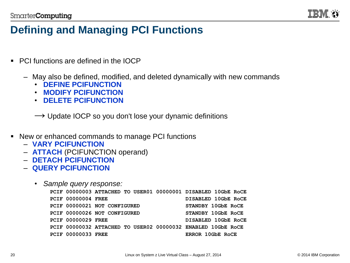

### **Defining and Managing PCI Functions**

- PCI functions are defined in the IOCP
	- May also be defined, modified, and deleted dynamically with new commands
		- **DEFINE PCIFUNCTION**
		- **MODIFY PCIFUNCTION**
		- **DELETE PCIFUNCTION**

 $\rightarrow$  Update IOCP so you don't lose your dynamic definitions

- New or enhanced commands to manage PCI functions
	- **VARY PCIFUNCTION**
	- **ATTACH** (PCIFUNCTION operand)
	- **DETACH PCIFUNCTION**
	- **QUERY PCIFUNCTION**
		- *Sample query response:*

|                           | PCIF 00000003 ATTACHED TO USER01 00000001 DISABLED 10GbE ROCE |                     |
|---------------------------|---------------------------------------------------------------|---------------------|
| <b>PCIF 00000004 FREE</b> |                                                               | DISABLED 10GbE RoCE |
|                           | PCIF 00000021 NOT CONFIGURED                                  | STANDBY 10GbE ROCE  |
|                           | PCIF 00000026 NOT CONFIGURED                                  | STANDBY 10GbE ROCE  |
| <b>PCIF 00000029 FREE</b> |                                                               | DISABLED 10GbE RoCE |
|                           | PCIF 00000032 ATTACHED TO USER02 00000032 ENABLED 10GbE ROCE  |                     |
| <b>PCIF 00000033 FREE</b> |                                                               | ERROR 10GbE ROCE    |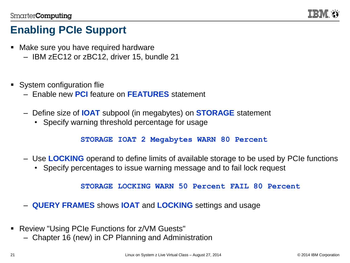

### **Enabling PCIe Support**

- Make sure you have required hardware
	- IBM zEC12 or zBC12, driver 15, bundle 21
- System configuration flie
	- Enable new **PCI** feature on **FEATURES** statement
	- Define size of **IOAT** subpool (in megabytes) on **STORAGE** statement
		- Specify warning threshold percentage for usage

**STORAGE IOAT 2 Megabytes WARN 80 Percent**

- Use **LOCKING** operand to define limits of available storage to be used by PCIe functions
	- Specify percentages to issue warning message and to fail lock request

**STORAGE LOCKING WARN 50 Percent FAIL 80 Percent**

- **QUERY FRAMES** shows **IOAT** and **LOCKING** settings and usage
- Review "Using PCIe Functions for z/VM Guests"
	- Chapter 16 (new) in CP Planning and Administration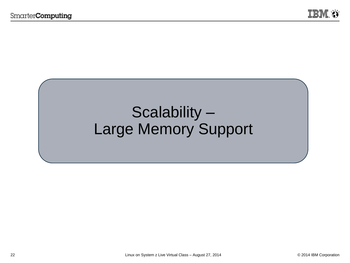## Scalability – Large Memory Support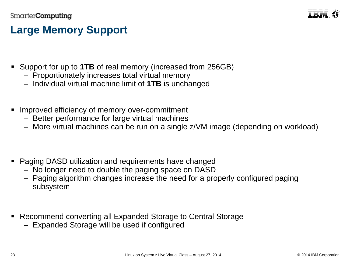

### **Large Memory Support**

- Support for up to **1TB** of real memory (increased from 256GB)
	- Proportionately increases total virtual memory
	- Individual virtual machine limit of **1TB** is unchanged
- Improved efficiency of memory over-commitment
	- Better performance for large virtual machines
	- More virtual machines can be run on a single z/VM image (depending on workload)
- Paging DASD utilization and requirements have changed
	- No longer need to double the paging space on DASD
	- Paging algorithm changes increase the need for a properly configured paging subsystem
- Recommend converting all Expanded Storage to Central Storage
	- Expanded Storage will be used if configured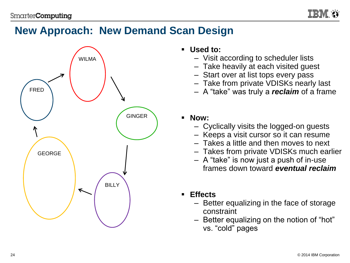

### **New Approach: New Demand Scan Design**



- **Used to:**
	- Visit according to scheduler lists
	- Take heavily at each visited guest
	- Start over at list tops every pass
	- Take from private VDISKs nearly last
	- A "take" was truly a *reclaim* of a frame
- **Now:**
	- Cyclically visits the logged-on guests
	- Keeps a visit cursor so it can resume
	- Takes a little and then moves to next
	- Takes from private VDISKs much earlier
	- A "take" is now just a push of in-use frames down toward *eventual reclaim*
- **Effects**
	- Better equalizing in the face of storage constraint
	- Better equalizing on the notion of "hot" vs. "cold" pages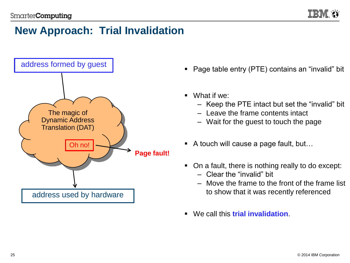### **New Approach: Trial Invalidation**



- Page table entry (PTE) contains an "invalid" bit
- What if we:
	- Keep the PTE intact but set the "invalid" bit
	- Leave the frame contents intact
	- Wait for the guest to touch the page
- A touch will cause a page fault, but...
- On a fault, there is nothing really to do except:
	- Clear the "invalid" bit
	- Move the frame to the front of the frame list to show that it was recently referenced
- We call this **trial invalidation**.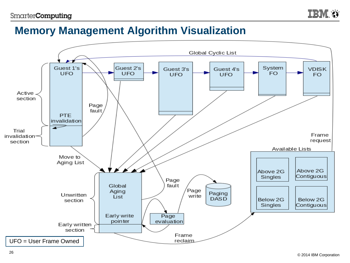IEM

### **Memory Management Algorithm Visualization**

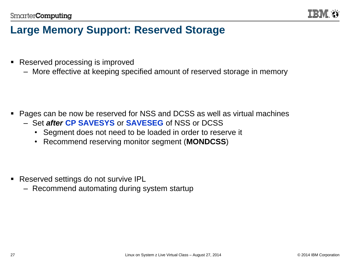

### **Large Memory Support: Reserved Storage**

- Reserved processing is improved
	- More effective at keeping specified amount of reserved storage in memory

- Pages can be now be reserved for NSS and DCSS as well as virtual machines
	- Set *after* **CP SAVESYS** or **SAVESEG** of NSS or DCSS
		- Segment does not need to be loaded in order to reserve it
		- Recommend reserving monitor segment (**MONDCSS**)

- **Reserved settings do not survive IPL** 
	- Recommend automating during system startup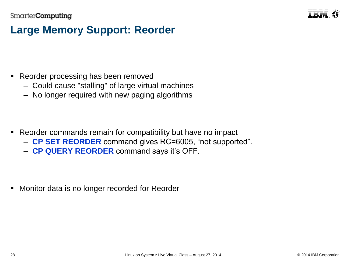

### **Large Memory Support: Reorder**

- Reorder processing has been removed
	- Could cause "stalling" of large virtual machines
	- No longer required with new paging algorithms

- Reorder commands remain for compatibility but have no impact
	- **CP SET REORDER** command gives RC=6005, "not supported".
	- **CP QUERY REORDER** command says it's OFF.

**Monitor data is no longer recorded for Reorder**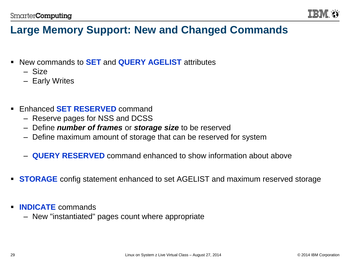

### **Large Memory Support: New and Changed Commands**

- New commands to **SET** and **QUERY AGELIST** attributes
	- Size
	- Early Writes
- Enhanced **SET RESERVED** command
	- Reserve pages for NSS and DCSS
	- Define *number of frames* or *storage size* to be reserved
	- Define maximum amount of storage that can be reserved for system
	- **QUERY RESERVED** command enhanced to show information about above
- **STORAGE** config statement enhanced to set AGELIST and maximum reserved storage
- **INDICATE** commands
	- New "instantiated" pages count where appropriate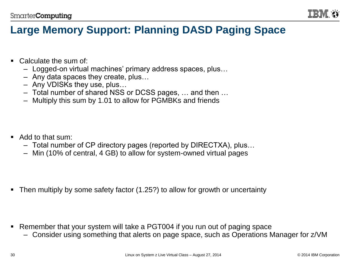

### **Large Memory Support: Planning DASD Paging Space**

- Calculate the sum of
	- Logged-on virtual machines' primary address spaces, plus…
	- Any data spaces they create, plus…
	- Any VDISKs they use, plus…
	- Total number of shared NSS or DCSS pages, … and then …
	- Multiply this sum by 1.01 to allow for PGMBKs and friends

- Add to that sum:
	- Total number of CP directory pages (reported by DIRECTXA), plus…
	- Min (10% of central, 4 GB) to allow for system-owned virtual pages

Then multiply by some safety factor (1.25?) to allow for growth or uncertainty

- Remember that your system will take a PGT004 if you run out of paging space
	- Consider using something that alerts on page space, such as Operations Manager for z/VM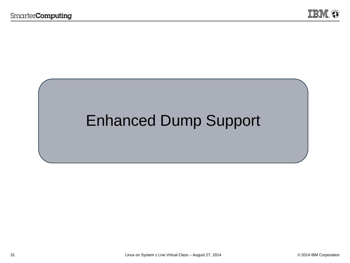

## Enhanced Dump Support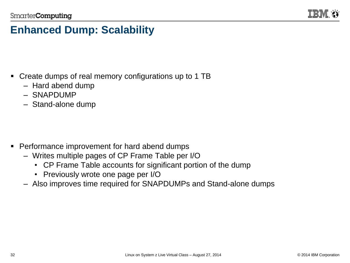

### **Enhanced Dump: Scalability**

- Create dumps of real memory configurations up to 1 TB
	- Hard abend dump
	- SNAPDUMP
	- Stand-alone dump

- Performance improvement for hard abend dumps
	- Writes multiple pages of CP Frame Table per I/O
		- CP Frame Table accounts for significant portion of the dump
		- Previously wrote one page per I/O
	- Also improves time required for SNAPDUMPs and Stand-alone dumps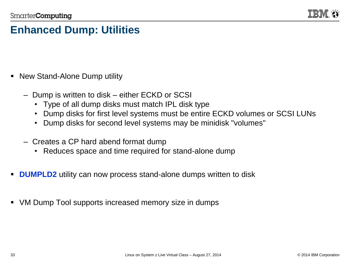

### **Enhanced Dump: Utilities**

- New Stand-Alone Dump utility
	- Dump is written to disk either ECKD or SCSI
		- Type of all dump disks must match IPL disk type
		- Dump disks for first level systems must be entire ECKD volumes or SCSI LUNs
		- Dump disks for second level systems may be minidisk "volumes"
	- Creates a CP hard abend format dump
		- Reduces space and time required for stand-alone dump
- **DUMPLD2** utility can now process stand-alone dumps written to disk
- VM Dump Tool supports increased memory size in dumps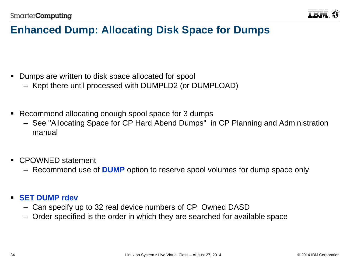

### **Enhanced Dump: Allocating Disk Space for Dumps**

- Dumps are written to disk space allocated for spool
	- Kept there until processed with DUMPLD2 (or DUMPLOAD)
- Recommend allocating enough spool space for 3 dumps
	- See "Allocating Space for CP Hard Abend Dumps" in CP Planning and Administration manual
- CPOWNED statement
	- Recommend use of **DUMP** option to reserve spool volumes for dump space only

#### **SET DUMP rdev**

- Can specify up to 32 real device numbers of CP\_Owned DASD
- Order specified is the order in which they are searched for available space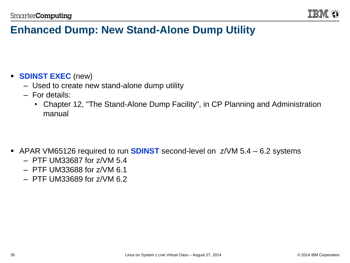

### **Enhanced Dump: New Stand-Alone Dump Utility**

#### **SDINST EXEC** (new)

- Used to create new stand-alone dump utility
- For details:
	- Chapter 12, "The Stand-Alone Dump Facility", in CP Planning and Administration manual

- APAR VM65126 required to run **SDINST** second-level on z/VM 5.4 6.2 systems
	- PTF UM33687 for z/VM 5.4
	- PTF UM33688 for z/VM 6.1
	- PTF UM33689 for z/VM 6.2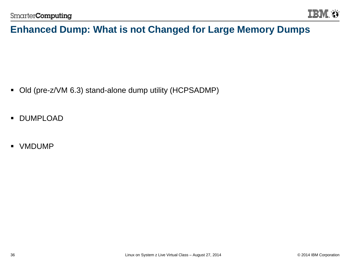

### **Enhanced Dump: What is not Changed for Large Memory Dumps**

- Old (pre-z/VM 6.3) stand-alone dump utility (HCPSADMP)
- **DUMPLOAD**
- **VMDUMP**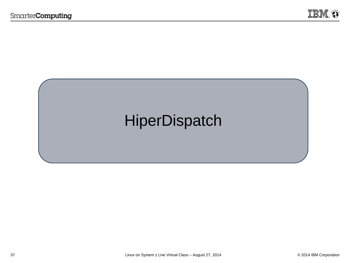

## **HiperDispatch**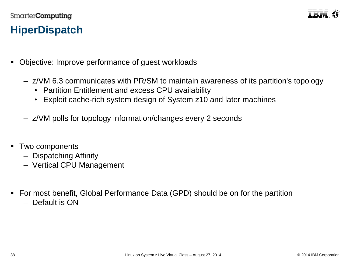

### **HiperDispatch**

- Objective: Improve performance of quest workloads
	- z/VM 6.3 communicates with PR/SM to maintain awareness of its partition's topology
		- Partition Entitlement and excess CPU availability
		- Exploit cache-rich system design of System z10 and later machines
	- z/VM polls for topology information/changes every 2 seconds
- Two components
	- Dispatching Affinity
	- Vertical CPU Management
- For most benefit, Global Performance Data (GPD) should be on for the partition
	- Default is ON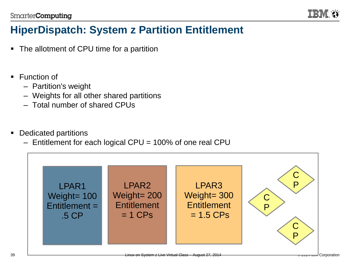

### **HiperDispatch: System z Partition Entitlement**

- The allotment of CPU time for a partition
- **Function of** 
	- Partition's weight
	- Weights for all other shared partitions
	- Total number of shared CPUs
- Dedicated partitions
	- Entitlement for each logical CPU = 100% of one real CPU

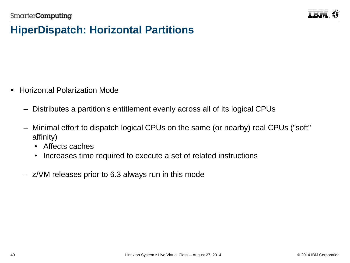

### **HiperDispatch: Horizontal Partitions**

- **EXEC** Horizontal Polarization Mode
	- Distributes a partition's entitlement evenly across all of its logical CPUs
	- Minimal effort to dispatch logical CPUs on the same (or nearby) real CPUs ("soft" affinity)
		- Affects caches
		- Increases time required to execute a set of related instructions
	- z/VM releases prior to 6.3 always run in this mode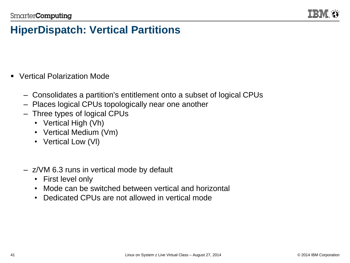

### **HiperDispatch: Vertical Partitions**

- Vertical Polarization Mode
	- Consolidates a partition's entitlement onto a subset of logical CPUs
	- Places logical CPUs topologically near one another
	- Three types of logical CPUs
		- Vertical High (Vh)
		- Vertical Medium (Vm)
		- Vertical Low (VI)
	- z/VM 6.3 runs in vertical mode by default
		- First level only
		- Mode can be switched between vertical and horizontal
		- Dedicated CPUs are not allowed in vertical mode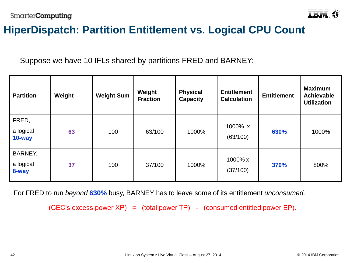

### **HiperDispatch: Partition Entitlement vs. Logical CPU Count**

Suppose we have 10 IFLs shared by partitions FRED and BARNEY:

| <b>Partition</b>              | Weight | <b>Weight Sum</b> | Weight<br><b>Fraction</b> | <b>Physical</b><br><b>Capacity</b> | <b>Entitlement</b><br><b>Calculation</b> | <b>Entitlement</b> | <b>Maximum</b><br><b>Achievable</b><br><b>Utilization</b> |
|-------------------------------|--------|-------------------|---------------------------|------------------------------------|------------------------------------------|--------------------|-----------------------------------------------------------|
| FRED,<br>a logical<br>10-way  | 63     | 100               | 63/100                    | 1000%                              | 1000% x<br>(63/100)                      | 630%               | 1000%                                                     |
| BARNEY,<br>a logical<br>8-way | 37     | 100               | 37/100                    | 1000%                              | 1000% x<br>(37/100)                      | 370%               | 800%                                                      |

For FRED to run *beyond* **630%** busy, BARNEY has to leave some of its entitlement *unconsumed.*

(CEC's excess power  $XP$ ) = (total power  $TP$ ) - (consumed entitled power  $EP$ ).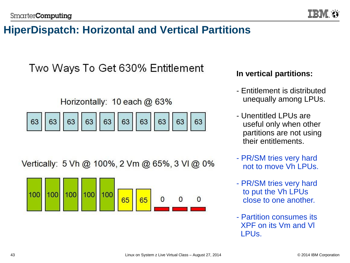### **HiperDispatch: Horizontal and Vertical Partitions**

Two Ways To Get 630% Entitlement

Horizontally: 10 each @ 63%

Vertically: 5 Vh @ 100%, 2 Vm @ 65%, 3 VI @ 0%



#### **In vertical partitions:**

- Entitlement is distributed unequally among LPUs.
- Unentitled LPUs are useful only when other partitions are not using their entitlements.
- PR/SM tries very hard not to move Vh LPUs.
- PR/SM tries very hard to put the Vh LPUs close to one another.
- Partition consumes its XPF on its Vm and Vl LPUs.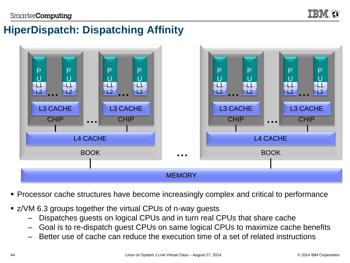

### **HiperDispatch: Dispatching Affinity**



- **Processor cache structures have become increasingly complex and critical to performance**
- **EXAMELER F**  $Z$  aroups together the virtual CPUs of n-way guests
	- Dispatches guests on logical CPUs and in turn real CPUs that share cache
	- Goal is to re-dispatch guest CPUs on same logical CPUs to maximize cache benefits
	- Better use of cache can reduce the execution time of a set of related instructions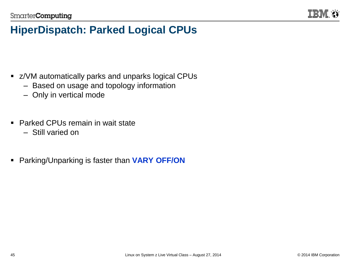

### **HiperDispatch: Parked Logical CPUs**

- **EXAM** automatically parks and unparks logical CPUs
	- Based on usage and topology information
	- Only in vertical mode
- Parked CPUs remain in wait state
	- Still varied on
- Parking/Unparking is faster than **VARY OFF/ON**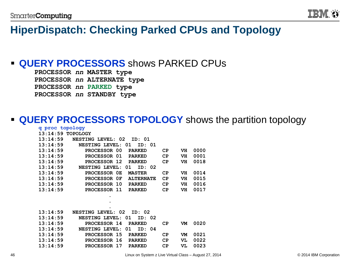

### **HiperDispatch: Checking Parked CPUs and Topology**

#### **QUERY PROCESSORS** shows PARKED CPUs

**PROCESSOR** *nn* **MASTER type PROCESSOR** *nn* **ALTERNATE type PROCESSOR** *nn* **PARKED type PROCESSOR** *nn* **STANDBY type**

#### **QUERY PROCESSORS TOPOLOGY** shows the partition topology

| q proc topology     |                                  |           |    |      |
|---------------------|----------------------------------|-----------|----|------|
| $13:14:59$ TOPOLOGY |                                  |           |    |      |
| 13:14:59            | NESTING LEVEL: 02<br>01: דה      |           |    |      |
| 13:14:59            | NESTING LEVEL:<br>ID: 01<br>-01  |           |    |      |
| 13:14:59            | PROCESSOR 00<br><b>PARKED</b>    | <b>CP</b> | VH | 0000 |
| 13:14:59            | PROCESSOR 01<br><b>PARKED</b>    | CP        | VH | 0001 |
| 13:14:59            | PROCESSOR 12<br><b>PARKED</b>    | CP        | VH | 0018 |
| 13:14:59            | NESTING LEVEL:<br>ID: 02<br>01   |           |    |      |
| 13:14:59            | PROCESSOR 0E<br><b>MASTER</b>    | CP        | VH | 0014 |
| 13:14:59            | PROCESSOR OF<br><b>ALTERNATE</b> | CP        | VH | 0015 |
| 13:14:59            | PROCESSOR 10<br><b>PARKED</b>    | CP        | VH | 0016 |
| 13:14:59            | PROCESSOR 11<br><b>PARKED</b>    | CP        | VH | 0017 |
|                     | ٠                                |           |    |      |

| 0020 |
|------|
|      |
| 0021 |
| 0022 |
| 0023 |
|      |

**. .**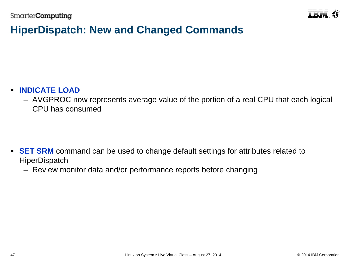

### **HiperDispatch: New and Changed Commands**

#### **INDICATE LOAD**

– AVGPROC now represents average value of the portion of a real CPU that each logical CPU has consumed

- **SET SRM** command can be used to change default settings for attributes related to **HiperDispatch** 
	- Review monitor data and/or performance reports before changing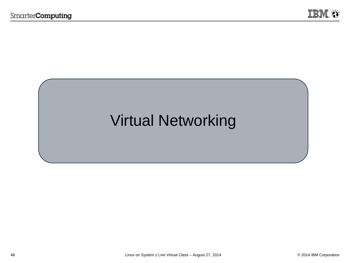## Virtual Networking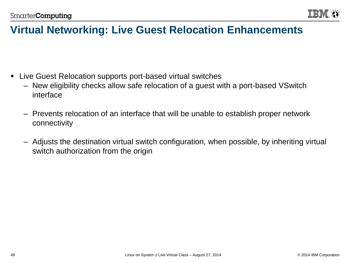

### **Virtual Networking: Live Guest Relocation Enhancements**

- Live Guest Relocation supports port-based virtual switches
	- New eligibility checks allow safe relocation of a guest with a port-based VSwitch interface
	- Prevents relocation of an interface that will be unable to establish proper network connectivity
	- Adjusts the destination virtual switch configuration, when possible, by inheriting virtual switch authorization from the origin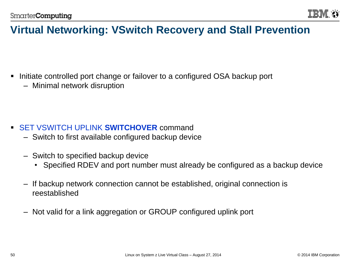

### **Virtual Networking: VSwitch Recovery and Stall Prevention**

- Initiate controlled port change or failover to a configured OSA backup port
	- Minimal network disruption

- SET VSWITCH UPLINK **SWITCHOVER** command
	- Switch to first available configured backup device
	- Switch to specified backup device
		- Specified RDEV and port number must already be configured as a backup device
	- If backup network connection cannot be established, original connection is reestablished
	- Not valid for a link aggregation or GROUP configured uplink port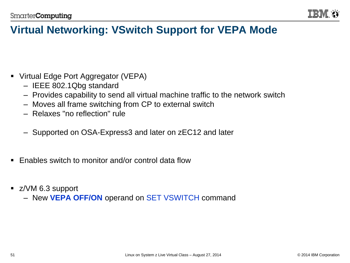

### **Virtual Networking: VSwitch Support for VEPA Mode**

- Virtual Edge Port Aggregator (VEPA)
	- IEEE 802.1Qbg standard
	- Provides capability to send all virtual machine traffic to the network switch
	- Moves all frame switching from CP to external switch
	- Relaxes "no reflection" rule
	- Supported on OSA-Express3 and later on zEC12 and later
- **Enables switch to monitor and/or control data flow**
- z/VM 6.3 support
	- New **VEPA OFF/ON** operand on SET VSWITCH command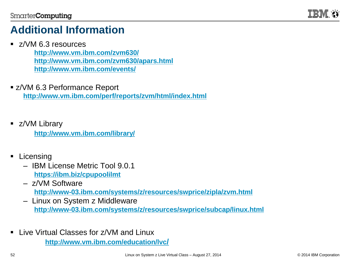

### **Additional Information**

**z/VM 6.3 resources** 

**<http://www.vm.ibm.com/zvm630/> <http://www.vm.ibm.com/zvm630/apars.html> <http://www.vm.ibm.com/events/>**

- z/VM 6.3 Performance Report **<http://www.vm.ibm.com/perf/reports/zvm/html/index.html>**
- **E** z/VM Library **<http://www.vm.ibm.com/library/>**
- Licensing
	- IBM License Metric Tool 9.0.1 **<https://ibm.biz/cpupoolilmt>**
	- z/VM Software **<http://www-03.ibm.com/systems/z/resources/swprice/zipla/zvm.html>**
	- Linux on System z Middleware **<http://www-03.ibm.com/systems/z/resources/swprice/subcap/linux.html>**
- **Live Virtual Classes for z/VM and Linux**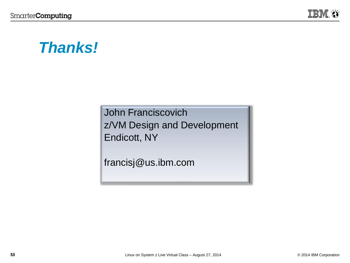

## *Thanks!*

John Franciscovich z/VM Design and Development Endicott, NY

francisj@us.ibm.com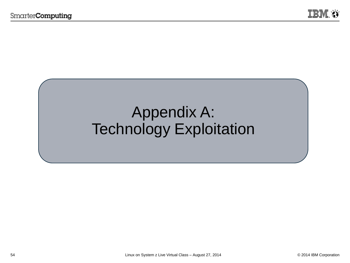## Appendix A: Technology Exploitation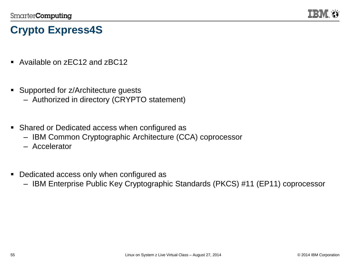

### **Crypto Express4S**

- Available on zEC12 and zBC12
- Supported for z/Architecture guests
	- Authorized in directory (CRYPTO statement)
- **Shared or Dedicated access when configured as** 
	- IBM Common Cryptographic Architecture (CCA) coprocessor
	- Accelerator
- Dedicated access only when configured as
	- IBM Enterprise Public Key Cryptographic Standards (PKCS) #11 (EP11) coprocessor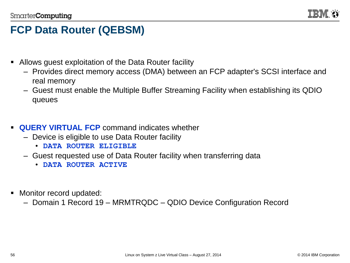

### **FCP Data Router (QEBSM)**

- Allows guest exploitation of the Data Router facility
	- Provides direct memory access (DMA) between an FCP adapter's SCSI interface and real memory
	- Guest must enable the Multiple Buffer Streaming Facility when establishing its QDIO queues
- **QUERY VIRTUAL FCP** command indicates whether
	- Device is eligible to use Data Router facility
		- **DATA ROUTER ELIGIBLE**
	- Guest requested use of Data Router facility when transferring data
		- **DATA ROUTER ACTIVE**
- Monitor record updated:
	- Domain 1 Record 19 MRMTRQDC QDIO Device Configuration Record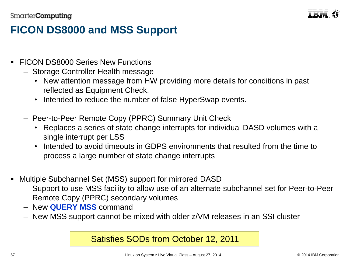

### **FICON DS8000 and MSS Support**

- **FICON DS8000 Series New Functions** 
	- Storage Controller Health message
		- New attention message from HW providing more details for conditions in past reflected as Equipment Check.
		- Intended to reduce the number of false HyperSwap events.
	- Peer-to-Peer Remote Copy (PPRC) Summary Unit Check
		- Replaces a series of state change interrupts for individual DASD volumes with a single interrupt per LSS
		- Intended to avoid timeouts in GDPS environments that resulted from the time to process a large number of state change interrupts
- Multiple Subchannel Set (MSS) support for mirrored DASD
	- Support to use MSS facility to allow use of an alternate subchannel set for Peer-to-Peer Remote Copy (PPRC) secondary volumes
	- New **QUERY MSS** command
	- New MSS support cannot be mixed with older z/VM releases in an SSI cluster

#### Satisfies SODs from October 12, 2011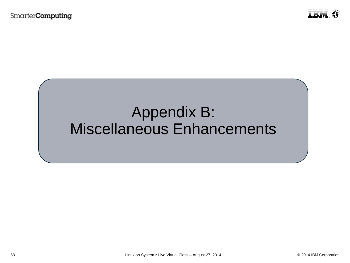## Appendix B: Miscellaneous Enhancements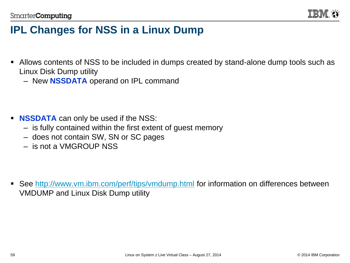

### **IPL Changes for NSS in a Linux Dump**

- Allows contents of NSS to be included in dumps created by stand-alone dump tools such as Linux Disk Dump utility
	- New **NSSDATA** operand on IPL command

- **NSSDATA** can only be used if the NSS:
	- is fully contained within the first extent of guest memory
	- does not contain SW, SN or SC pages
	- is not a VMGROUP NSS

■ See <http://www.vm.ibm.com/perf/tips/vmdump.html> for information on differences between VMDUMP and Linux Disk Dump utility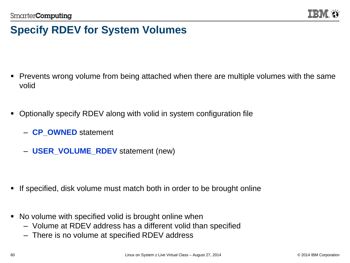

### **Specify RDEV for System Volumes**

- Prevents wrong volume from being attached when there are multiple volumes with the same volid
- Optionally specify RDEV along with volid in system configuration file
	- **CP\_OWNED** statement
	- **USER\_VOLUME\_RDEV** statement (new)

- If specified, disk volume must match both in order to be brought online
- No volume with specified volid is brought online when
	- Volume at RDEV address has a different volid than specified
	- There is no volume at specified RDEV address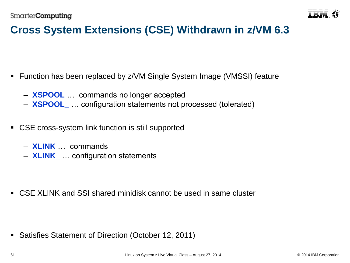

### **Cross System Extensions (CSE) Withdrawn in z/VM 6.3**

- Function has been replaced by z/VM Single System Image (VMSSI) feature
	- **XSPOOL** … commands no longer accepted
	- **XSPOOL\_** … configuration statements not processed (tolerated)
- CSE cross-system link function is still supported
	- **XLINK** … commands
	- **XLINK\_** … configuration statements

CSE XLINK and SSI shared minidisk cannot be used in same cluster

**Satisfies Statement of Direction (October 12, 2011)**